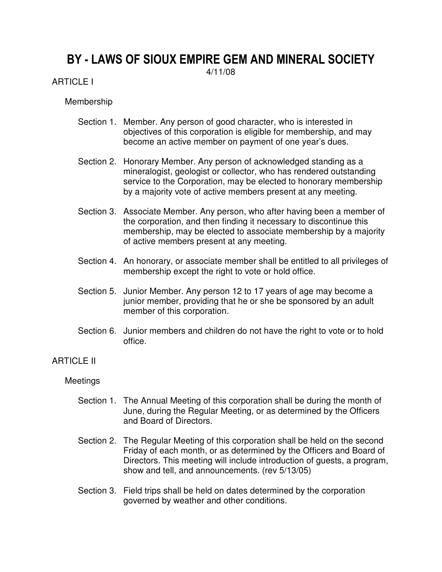# BY - LAWS OF SIOUX EMPIRE GEM AND MINERAL SOCIETY

4/11/08

### ARTICLE I

#### Membership

- Section 1. Member. Any person of good character, who is interested in objectives of this corporation is eligible for membership, and may become an active member on payment of one year's dues.
- Section 2. Honorary Member. Any person of acknowledged standing as a mineralogist, geologist or collector, who has rendered outstanding service to the Corporation, may be elected to honorary membership by a majority vote of active members present at any meeting.
- Section 3. Associate Member. Any person, who after having been a member of the corporation, and then finding it necessary to discontinue this membership, may be elected to associate membership by a majority of active members present at any meeting.
- Section 4. An honorary, or associate member shall be entitled to all privileges of membership except the right to vote or hold office.
- Section 5. Junior Member. Any person 12 to 17 years of age may become a junior member, providing that he or she be sponsored by an adult member of this corporation.
- Section 6. Junior members and children do not have the right to vote or to hold office.

#### ARTICLE II

#### Meetings

- Section 1. The Annual Meeting of this corporation shall be during the month of June, during the Regular Meeting, or as determined by the Officers and Board of Directors.
- Section 2. The Regular Meeting of this corporation shall be held on the second Friday of each month, or as determined by the Officers and Board of Directors. This meeting will include introduction of guests, a program, show and tell, and announcements. (rev 5/13/05)
- Section 3. Field trips shall be held on dates determined by the corporation governed by weather and other conditions.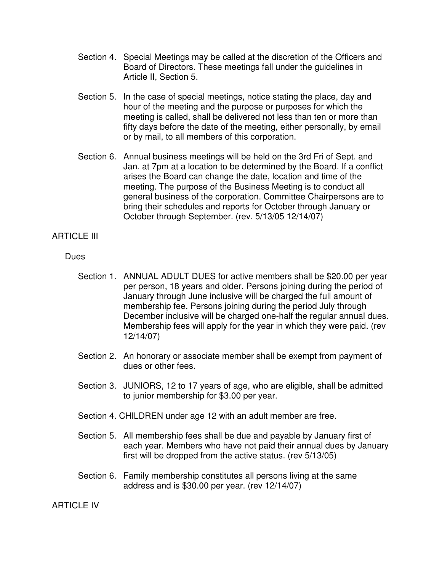- Section 4. Special Meetings may be called at the discretion of the Officers and Board of Directors. These meetings fall under the guidelines in Article II, Section 5.
- Section 5. In the case of special meetings, notice stating the place, day and hour of the meeting and the purpose or purposes for which the meeting is called, shall be delivered not less than ten or more than fifty days before the date of the meeting, either personally, by email or by mail, to all members of this corporation.
- Section 6. Annual business meetings will be held on the 3rd Fri of Sept. and Jan. at 7pm at a location to be determined by the Board. If a conflict arises the Board can change the date, location and time of the meeting. The purpose of the Business Meeting is to conduct all general business of the corporation. Committee Chairpersons are to bring their schedules and reports for October through January or October through September. (rev. 5/13/05 12/14/07)

# ARTICLE III

## Dues

- Section 1. ANNUAL ADULT DUES for active members shall be \$20.00 per year per person, 18 years and older. Persons joining during the period of January through June inclusive will be charged the full amount of membership fee. Persons joining during the period July through December inclusive will be charged one-half the regular annual dues. Membership fees will apply for the year in which they were paid. (rev 12/14/07)
- Section 2. An honorary or associate member shall be exempt from payment of dues or other fees.
- Section 3. JUNIORS, 12 to 17 years of age, who are eligible, shall be admitted to junior membership for \$3.00 per year.
- Section 4. CHILDREN under age 12 with an adult member are free.
- Section 5. All membership fees shall be due and payable by January first of each year. Members who have not paid their annual dues by January first will be dropped from the active status. (rev 5/13/05)
- Section 6. Family membership constitutes all persons living at the same address and is \$30.00 per year. (rev 12/14/07)

ARTICLE IV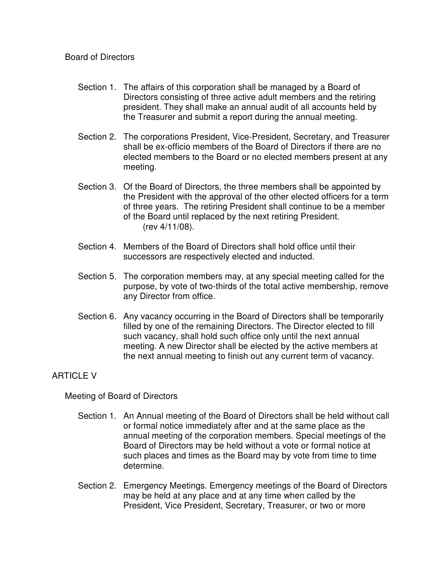- Section 1. The affairs of this corporation shall be managed by a Board of Directors consisting of three active adult members and the retiring president. They shall make an annual audit of all accounts held by the Treasurer and submit a report during the annual meeting.
- Section 2. The corporations President, Vice-President, Secretary, and Treasurer shall be ex-officio members of the Board of Directors if there are no elected members to the Board or no elected members present at any meeting.
- Section 3. Of the Board of Directors, the three members shall be appointed by the President with the approval of the other elected officers for a term of three years. The retiring President shall continue to be a member of the Board until replaced by the next retiring President. (rev 4/11/08).
- Section 4. Members of the Board of Directors shall hold office until their successors are respectively elected and inducted.
- Section 5. The corporation members may, at any special meeting called for the purpose, by vote of two-thirds of the total active membership, remove any Director from office.
- Section 6. Any vacancy occurring in the Board of Directors shall be temporarily filled by one of the remaining Directors. The Director elected to fill such vacancy, shall hold such office only until the next annual meeting. A new Director shall be elected by the active members at the next annual meeting to finish out any current term of vacancy.

# ARTICLE V

Meeting of Board of Directors

- Section 1. An Annual meeting of the Board of Directors shall be held without call or formal notice immediately after and at the same place as the annual meeting of the corporation members. Special meetings of the Board of Directors may be held without a vote or formal notice at such places and times as the Board may by vote from time to time determine.
- Section 2. Emergency Meetings. Emergency meetings of the Board of Directors may be held at any place and at any time when called by the President, Vice President, Secretary, Treasurer, or two or more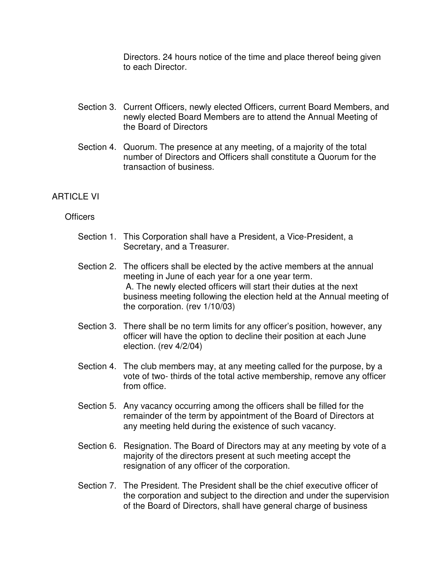Directors. 24 hours notice of the time and place thereof being given to each Director.

- Section 3. Current Officers, newly elected Officers, current Board Members, and newly elected Board Members are to attend the Annual Meeting of the Board of Directors
- Section 4. Quorum. The presence at any meeting, of a majority of the total number of Directors and Officers shall constitute a Quorum for the transaction of business.

## ARTICLE VI

#### **Officers**

- Section 1. This Corporation shall have a President, a Vice-President, a Secretary, and a Treasurer.
- Section 2. The officers shall be elected by the active members at the annual meeting in June of each year for a one year term. A. The newly elected officers will start their duties at the next business meeting following the election held at the Annual meeting of the corporation. (rev 1/10/03)
- Section 3. There shall be no term limits for any officer's position, however, any officer will have the option to decline their position at each June election. (rev 4/2/04)
- Section 4. The club members may, at any meeting called for the purpose, by a vote of two- thirds of the total active membership, remove any officer from office.
- Section 5. Any vacancy occurring among the officers shall be filled for the remainder of the term by appointment of the Board of Directors at any meeting held during the existence of such vacancy.
- Section 6. Resignation. The Board of Directors may at any meeting by vote of a majority of the directors present at such meeting accept the resignation of any officer of the corporation.
- Section 7. The President. The President shall be the chief executive officer of the corporation and subject to the direction and under the supervision of the Board of Directors, shall have general charge of business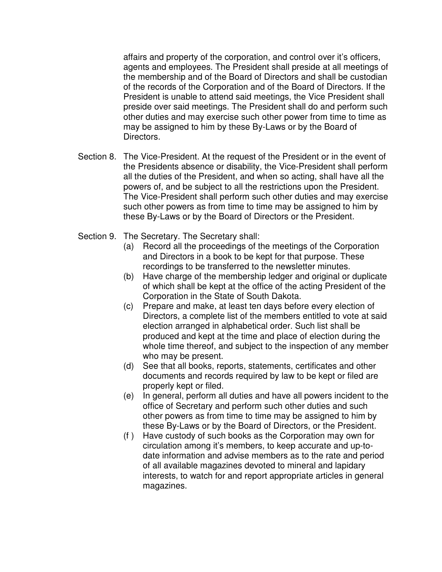affairs and property of the corporation, and control over it's officers, agents and employees. The President shall preside at all meetings of the membership and of the Board of Directors and shall be custodian of the records of the Corporation and of the Board of Directors. If the President is unable to attend said meetings, the Vice President shall preside over said meetings. The President shall do and perform such other duties and may exercise such other power from time to time as may be assigned to him by these By-Laws or by the Board of Directors.

- Section 8. The Vice-President. At the request of the President or in the event of the Presidents absence or disability, the Vice-President shall perform all the duties of the President, and when so acting, shall have all the powers of, and be subject to all the restrictions upon the President. The Vice-President shall perform such other duties and may exercise such other powers as from time to time may be assigned to him by these By-Laws or by the Board of Directors or the President.
- Section 9. The Secretary. The Secretary shall:
	- (a) Record all the proceedings of the meetings of the Corporation and Directors in a book to be kept for that purpose. These recordings to be transferred to the newsletter minutes.
	- (b) Have charge of the membership ledger and original or duplicate of which shall be kept at the office of the acting President of the Corporation in the State of South Dakota.
	- (c) Prepare and make, at least ten days before every election of Directors, a complete list of the members entitled to vote at said election arranged in alphabetical order. Such list shall be produced and kept at the time and place of election during the whole time thereof, and subject to the inspection of any member who may be present.
	- (d) See that all books, reports, statements, certificates and other documents and records required by law to be kept or filed are properly kept or filed.
	- (e) In general, perform all duties and have all powers incident to the office of Secretary and perform such other duties and such other powers as from time to time may be assigned to him by these By-Laws or by the Board of Directors, or the President.
	- (f ) Have custody of such books as the Corporation may own for circulation among it's members, to keep accurate and up-to date information and advise members as to the rate and period of all available magazines devoted to mineral and lapidary interests, to watch for and report appropriate articles in general magazines.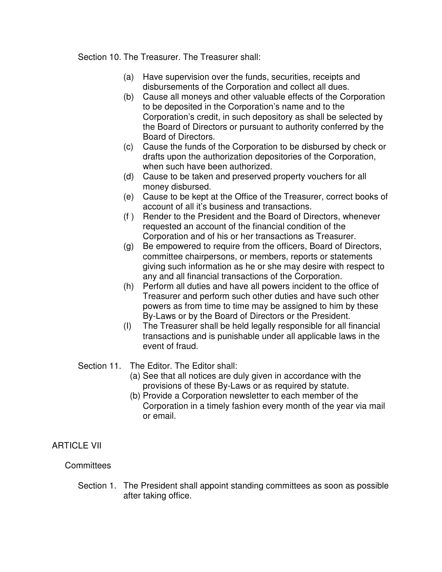Section 10. The Treasurer. The Treasurer shall:

- (a) Have supervision over the funds, securities, receipts and disbursements of the Corporation and collect all dues.
- (b) Cause all moneys and other valuable effects of the Corporation to be deposited in the Corporation's name and to the Corporation's credit, in such depository as shall be selected by the Board of Directors or pursuant to authority conferred by the Board of Directors.
- (c) Cause the funds of the Corporation to be disbursed by check or drafts upon the authorization depositories of the Corporation, when such have been authorized.
- (d) Cause to be taken and preserved property vouchers for all money disbursed.
- (e) Cause to be kept at the Office of the Treasurer, correct books of account of all it's business and transactions.
- (f ) Render to the President and the Board of Directors, whenever requested an account of the financial condition of the Corporation and of his or her transactions as Treasurer.
- (g) Be empowered to require from the officers, Board of Directors, committee chairpersons, or members, reports or statements giving such information as he or she may desire with respect to any and all financial transactions of the Corporation.
- (h) Perform all duties and have all powers incident to the office of Treasurer and perform such other duties and have such other powers as from time to time may be assigned to him by these By-Laws or by the Board of Directors or the President.
- (I) The Treasurer shall be held legally responsible for all financial transactions and is punishable under all applicable laws in the event of fraud.
- Section 11. The Editor. The Editor shall:
	- (a) See that all notices are duly given in accordance with the provisions of these By-Laws or as required by statute.
	- (b) Provide a Corporation newsletter to each member of the Corporation in a timely fashion every month of the year via mail or email.

# ARTICLE VII

#### **Committees**

Section 1. The President shall appoint standing committees as soon as possible after taking office.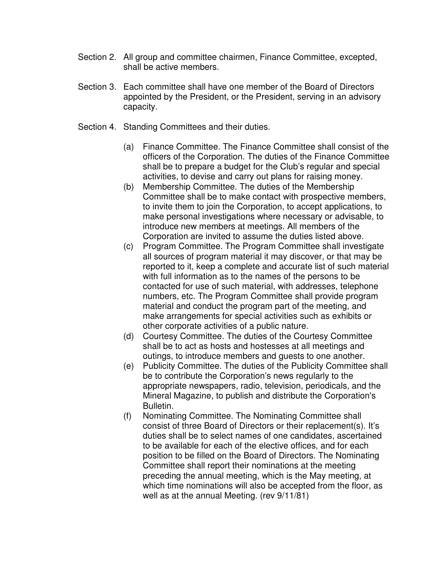- Section 2. All group and committee chairmen, Finance Committee, excepted, shall be active members.
- Section 3. Each committee shall have one member of the Board of Directors appointed by the President, or the President, serving in an advisory capacity.
- Section 4. Standing Committees and their duties.
	- (a) Finance Committee. The Finance Committee shall consist of the officers of the Corporation. The duties of the Finance Committee shall be to prepare a budget for the Club's regular and special activities, to devise and carry out plans for raising money.
	- (b) Membership Committee. The duties of the Membership Committee shall be to make contact with prospective members, to invite them to join the Corporation, to accept applications, to make personal investigations where necessary or advisable, to introduce new members at meetings. All members of the Corporation are invited to assume the duties listed above.
	- (c) Program Committee. The Program Committee shall investigate all sources of program material it may discover, or that may be reported to it, keep a complete and accurate list of such material with full information as to the names of the persons to be contacted for use of such material, with addresses, telephone numbers, etc. The Program Committee shall provide program material and conduct the program part of the meeting, and make arrangements for special activities such as exhibits or other corporate activities of a public nature.
	- (d) Courtesy Committee. The duties of the Courtesy Committee shall be to act as hosts and hostesses at all meetings and outings, to introduce members and guests to one another.
	- (e) Publicity Committee. The duties of the Publicity Committee shall be to contribute the Corporation's news regularly to the appropriate newspapers, radio, television, periodicals, and the Mineral Magazine, to publish and distribute the Corporation's Bulletin.
	- (f) Nominating Committee. The Nominating Committee shall consist of three Board of Directors or their replacement(s). It's duties shall be to select names of one candidates, ascertained to be available for each of the elective offices, and for each position to be filled on the Board of Directors. The Nominating Committee shall report their nominations at the meeting preceding the annual meeting, which is the May meeting, at which time nominations will also be accepted from the floor, as well as at the annual Meeting. (rev 9/11/81)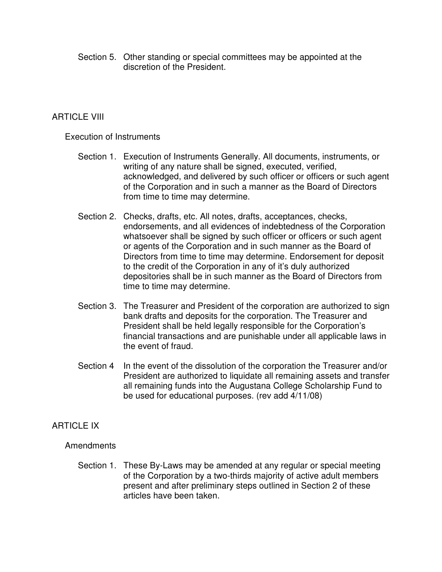Section 5. Other standing or special committees may be appointed at the discretion of the President.

# ARTICLE VIII

Execution of Instruments

- Section 1. Execution of Instruments Generally. All documents, instruments, or writing of any nature shall be signed, executed, verified, acknowledged, and delivered by such officer or officers or such agent of the Corporation and in such a manner as the Board of Directors from time to time may determine.
- Section 2. Checks, drafts, etc. All notes, drafts, acceptances, checks, endorsements, and all evidences of indebtedness of the Corporation whatsoever shall be signed by such officer or officers or such agent or agents of the Corporation and in such manner as the Board of Directors from time to time may determine. Endorsement for deposit to the credit of the Corporation in any of it's duly authorized depositories shall be in such manner as the Board of Directors from time to time may determine.
- Section 3. The Treasurer and President of the corporation are authorized to sign bank drafts and deposits for the corporation. The Treasurer and President shall be held legally responsible for the Corporation's financial transactions and are punishable under all applicable laws in the event of fraud.
- Section 4 In the event of the dissolution of the corporation the Treasurer and/or President are authorized to liquidate all remaining assets and transfer all remaining funds into the Augustana College Scholarship Fund to be used for educational purposes. (rev add 4/11/08)

# ARTICLE IX

#### Amendments

Section 1. These By-Laws may be amended at any regular or special meeting of the Corporation by a two-thirds majority of active adult members present and after preliminary steps outlined in Section 2 of these articles have been taken.